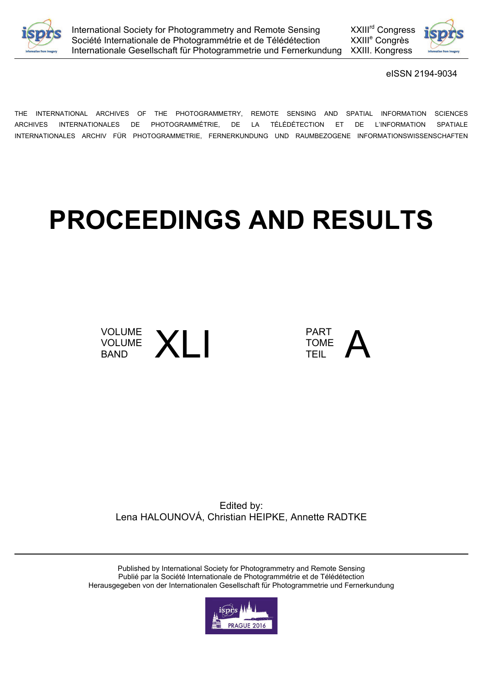



eISSN 2194-9034

THE INTERNATIONAL ARCHIVES OF THE PHOTOGRAMMETRY, REMOTE SENSING AND SPATIAL INFORMATION SCIENCES ARCHIVES INTERNATIONALES DE PHOTOGRAMMÉTRIE, DE LA TÉLÉDÉTECTION ET DE L'INFORMATION SPATIALE INTERNATIONALES ARCHIV FÜR PHOTOGRAMMETRIE, FERNERKUNDUNG UND RAUMBEZOGENE INFORMATIONSWISSENSCHAFTEN

## **PROCEEDINGS AND RESULTS**





Edited by: Lena HALOUNOVÁ, Christian HEIPKE, Annette RADTKE

Published by International Society for Photogrammetry and Remote Sensing Publié par la Société Internationale de Photogrammétrie et de Télédétection Herausgegeben von der Internationalen Gesellschaft für Photogrammetrie und Fernerkundung